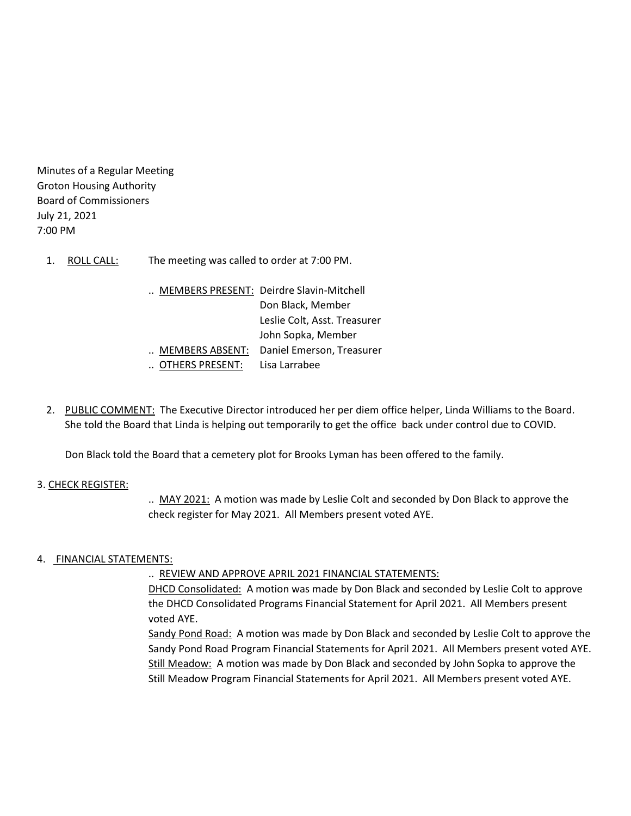Minutes of a Regular Meeting Groton Housing Authority Board of Commissioners July 21, 2021 7:00 PM

- 1. ROLL CALL: The meeting was called to order at 7:00 PM.
	- .. MEMBERS PRESENT: Deirdre Slavin-Mitchell Don Black, Member Leslie Colt, Asst. Treasurer John Sopka, Member .. MEMBERS ABSENT: Daniel Emerson, Treasurer .. OTHERS PRESENT: Lisa Larrabee
- 2. PUBLIC COMMENT: The Executive Director introduced her per diem office helper, Linda Williams to the Board. She told the Board that Linda is helping out temporarily to get the office back under control due to COVID.

Don Black told the Board that a cemetery plot for Brooks Lyman has been offered to the family.

## 3. CHECK REGISTER:

.. MAY 2021: A motion was made by Leslie Colt and seconded by Don Black to approve the check register for May 2021. All Members present voted AYE.

## 4. FINANCIAL STATEMENTS:

.. REVIEW AND APPROVE APRIL 2021 FINANCIAL STATEMENTS:

DHCD Consolidated: A motion was made by Don Black and seconded by Leslie Colt to approve the DHCD Consolidated Programs Financial Statement for April 2021. All Members present voted AYE.

Sandy Pond Road: A motion was made by Don Black and seconded by Leslie Colt to approve the Sandy Pond Road Program Financial Statements for April 2021. All Members present voted AYE. Still Meadow: A motion was made by Don Black and seconded by John Sopka to approve the Still Meadow Program Financial Statements for April 2021. All Members present voted AYE.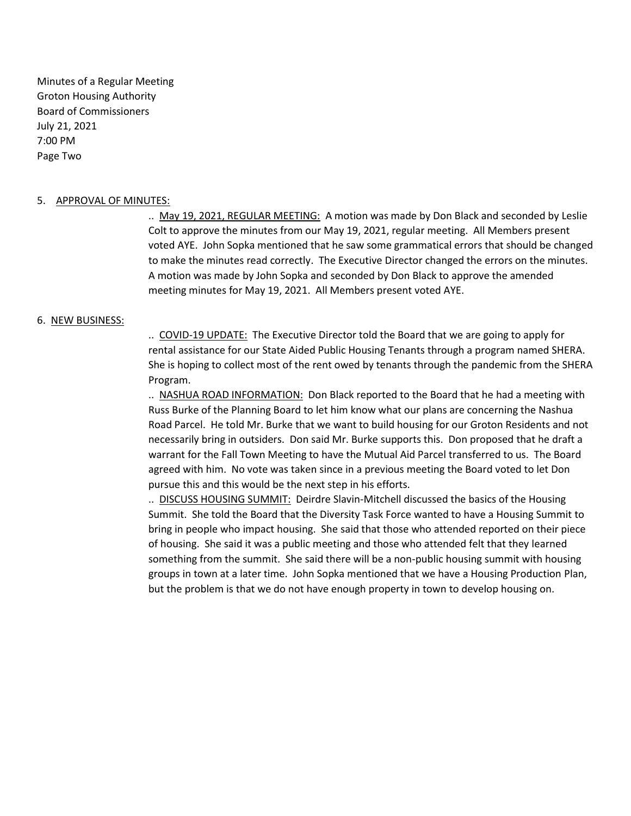Minutes of a Regular Meeting Groton Housing Authority Board of Commissioners July 21, 2021 7:00 PM Page Two

### 5. APPROVAL OF MINUTES:

.. May 19, 2021, REGULAR MEETING: A motion was made by Don Black and seconded by Leslie Colt to approve the minutes from our May 19, 2021, regular meeting. All Members present voted AYE. John Sopka mentioned that he saw some grammatical errors that should be changed to make the minutes read correctly. The Executive Director changed the errors on the minutes. A motion was made by John Sopka and seconded by Don Black to approve the amended meeting minutes for May 19, 2021. All Members present voted AYE.

#### 6. NEW BUSINESS:

.. COVID-19 UPDATE: The Executive Director told the Board that we are going to apply for rental assistance for our State Aided Public Housing Tenants through a program named SHERA. She is hoping to collect most of the rent owed by tenants through the pandemic from the SHERA Program.

.. NASHUA ROAD INFORMATION: Don Black reported to the Board that he had a meeting with Russ Burke of the Planning Board to let him know what our plans are concerning the Nashua Road Parcel. He told Mr. Burke that we want to build housing for our Groton Residents and not necessarily bring in outsiders. Don said Mr. Burke supports this. Don proposed that he draft a warrant for the Fall Town Meeting to have the Mutual Aid Parcel transferred to us. The Board agreed with him. No vote was taken since in a previous meeting the Board voted to let Don pursue this and this would be the next step in his efforts.

.. DISCUSS HOUSING SUMMIT: Deirdre Slavin-Mitchell discussed the basics of the Housing Summit. She told the Board that the Diversity Task Force wanted to have a Housing Summit to bring in people who impact housing. She said that those who attended reported on their piece of housing. She said it was a public meeting and those who attended felt that they learned something from the summit. She said there will be a non-public housing summit with housing groups in town at a later time. John Sopka mentioned that we have a Housing Production Plan, but the problem is that we do not have enough property in town to develop housing on.